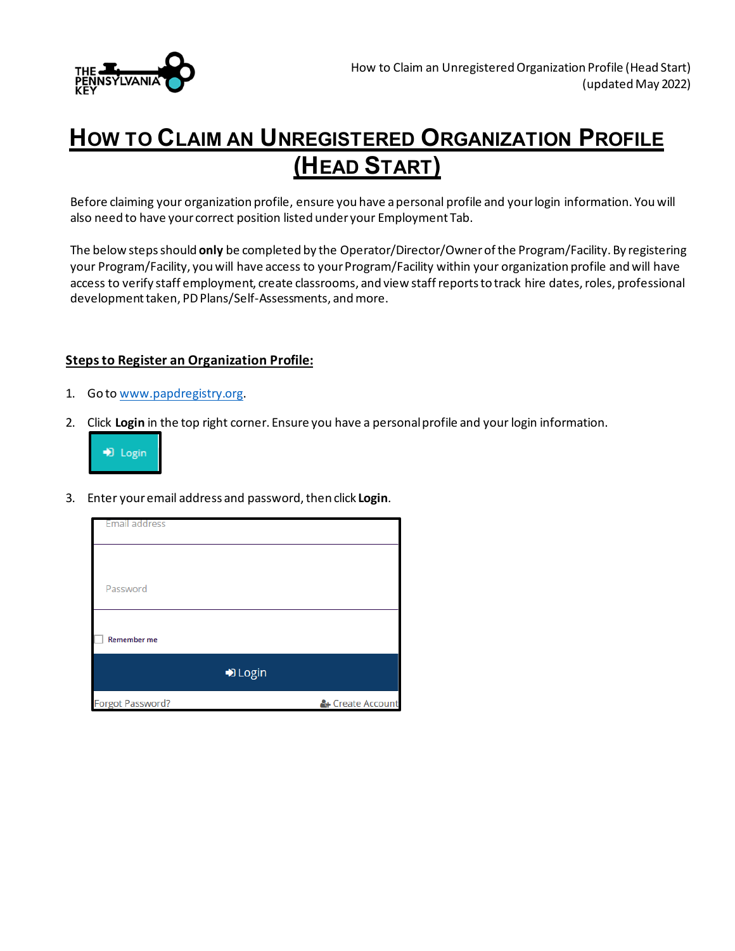

## **HOW TO CLAIM AN UNREGISTERED ORGANIZATION PROFILE (HEAD START)**

Before claiming your organization profile, ensure you have a personal profile and your login information. You will also need to have your correct position listed under your Employment Tab.

The below steps should **only** be completed by the Operator/Director/Ownerof the Program/Facility. By registering your Program/Facility, you will have access to your Program/Facility within your organization profile and will have access to verify staff employment, create classrooms, and view staff reports to track hire dates, roles, professional development taken, PD Plans/Self-Assessments, and more.

## **Steps to Register an Organization Profile:**

- 1. Go to [www.papdregistry.org.](http://www.papdregistry.org/)
- 2. Click **Login** in the top right corner. Ensure you have a personal profile and your login information.



3. Enter your email address and password, then click **Login**.

| Email address    |                  |
|------------------|------------------|
|                  |                  |
| Password         |                  |
| Remember me      |                  |
| D Login          |                  |
| Forgot Password? | & Create Account |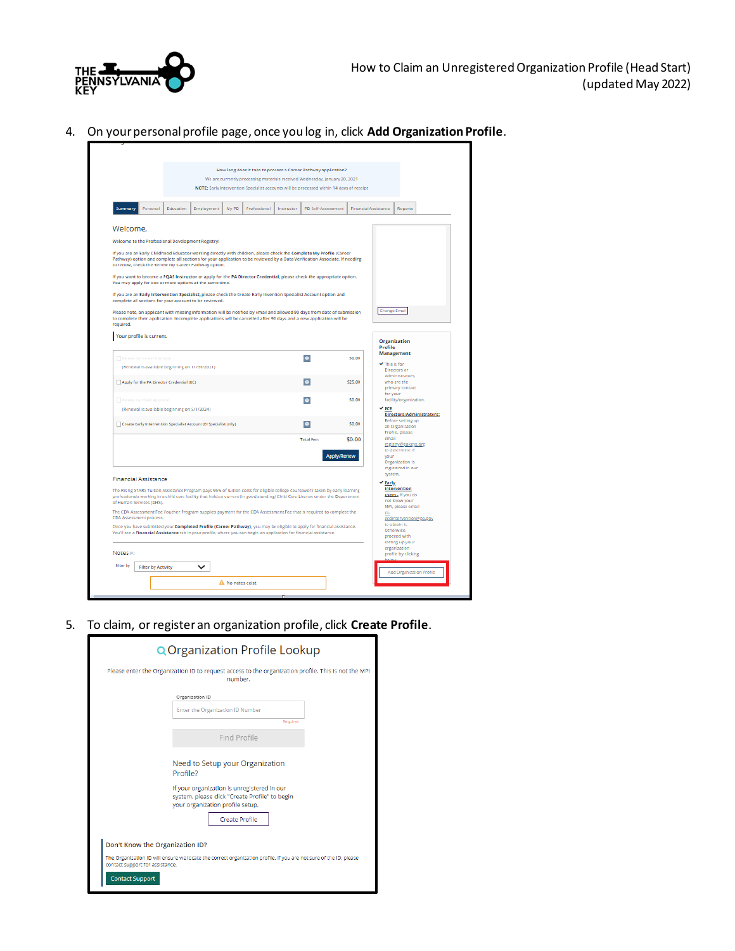

4. On your personal profile page, once you log in, click **Add Organization Profile**.

|                      |                             |                                                |                                                                                                                                                                                                                                                                                                          |       | How long does it take to process a Career Pathway application?<br>We are currently processing materials received Wednesday, January 20, 2021 |            |                    |                    |                      |                |                                                                   |  |
|----------------------|-----------------------------|------------------------------------------------|----------------------------------------------------------------------------------------------------------------------------------------------------------------------------------------------------------------------------------------------------------------------------------------------------------|-------|----------------------------------------------------------------------------------------------------------------------------------------------|------------|--------------------|--------------------|----------------------|----------------|-------------------------------------------------------------------|--|
|                      |                             |                                                |                                                                                                                                                                                                                                                                                                          |       | NOTE: Early Intervention Specialist accounts will be processed within 14 days of receipt                                                     |            |                    |                    |                      |                |                                                                   |  |
|                      |                             |                                                |                                                                                                                                                                                                                                                                                                          |       |                                                                                                                                              |            |                    |                    |                      |                |                                                                   |  |
| Summary              | Personal                    | Education                                      | Employment                                                                                                                                                                                                                                                                                               | My PD | Professional                                                                                                                                 | Instructor | PD Self-Assessment |                    | Financial Assistance |                | <b>Reports</b>                                                    |  |
|                      |                             |                                                |                                                                                                                                                                                                                                                                                                          |       |                                                                                                                                              |            |                    |                    |                      |                |                                                                   |  |
| Welcome.             |                             |                                                |                                                                                                                                                                                                                                                                                                          |       |                                                                                                                                              |            |                    |                    |                      |                |                                                                   |  |
|                      |                             |                                                | Welcome to the Professional Development Registry!                                                                                                                                                                                                                                                        |       |                                                                                                                                              |            |                    |                    |                      |                |                                                                   |  |
|                      |                             |                                                | If you are an Early Childhood Educator working directly with children, please check the Complete My Profile (Career<br>Pathway) option and complete all sections for your application to be reviewed by a Data Verification Associate. If needing<br>to renew, check the Renew my Career Pathway option. |       |                                                                                                                                              |            |                    |                    |                      |                |                                                                   |  |
|                      |                             |                                                | If you want to become a PQAS Instructor or apply for the PA Director Credential, please check the appropriate option.<br>You may apply for one or more options at the same time.                                                                                                                         |       |                                                                                                                                              |            |                    |                    |                      |                |                                                                   |  |
|                      |                             |                                                | If you are an Early Intervention Specialist, please check the Create Early Invention Specialist Account option and<br>complete all sections for your account to be reviewed.                                                                                                                             |       |                                                                                                                                              |            |                    |                    |                      |                |                                                                   |  |
| required.            |                             |                                                | Please note, an applicant with missing information will be notified by email and allowed 90 days from date of submission<br>to complete their application. Incomplete applications will be cancelled after 90 days and a new application will be                                                         |       |                                                                                                                                              |            |                    |                    |                      | Change Email   |                                                                   |  |
|                      | Your profile is current.    |                                                |                                                                                                                                                                                                                                                                                                          |       |                                                                                                                                              |            |                    |                    |                      | Profile        | Organization                                                      |  |
|                      | Renew my Career Pathway     |                                                |                                                                                                                                                                                                                                                                                                          |       |                                                                                                                                              |            | $\bullet$          |                    | \$0.00               |                | Management                                                        |  |
|                      |                             | (Renewal is available beginning on 11/30/2021) |                                                                                                                                                                                                                                                                                                          |       |                                                                                                                                              |            |                    |                    |                      | This is for    | Directors or                                                      |  |
|                      |                             | Apply for the PA Director Credential (DC)      |                                                                                                                                                                                                                                                                                                          |       |                                                                                                                                              |            | $\bullet$          |                    | \$25.00              |                | Administrators,<br>who are the<br>primary contact                 |  |
|                      | Renew my PQAS Approval      |                                                |                                                                                                                                                                                                                                                                                                          |       |                                                                                                                                              |            | $\bullet$          |                    | so oo                | for your       | facility/organization.                                            |  |
|                      |                             | (Renewal is available beginning on 5/1/2024)   |                                                                                                                                                                                                                                                                                                          |       |                                                                                                                                              |            |                    |                    |                      | $\times$ ECE   |                                                                   |  |
|                      |                             |                                                | Create Early Intervention Specialist Account (El Specialist only)                                                                                                                                                                                                                                        |       |                                                                                                                                              |            | $\bullet$          |                    | \$0.00               |                | Directors/Administrators:<br>Before setting up<br>an Organization |  |
|                      |                             |                                                |                                                                                                                                                                                                                                                                                                          |       |                                                                                                                                              |            | <b>Total Fee:</b>  |                    | \$0.00               | email          | Profile, please                                                   |  |
|                      |                             |                                                |                                                                                                                                                                                                                                                                                                          |       |                                                                                                                                              |            |                    |                    |                      |                | registry@pakeys.org<br>to determine if                            |  |
|                      |                             |                                                |                                                                                                                                                                                                                                                                                                          |       |                                                                                                                                              |            |                    | <b>Apply/Renew</b> |                      | vour           | Organization is                                                   |  |
|                      |                             |                                                |                                                                                                                                                                                                                                                                                                          |       |                                                                                                                                              |            |                    |                    |                      |                | registered in our                                                 |  |
|                      |                             |                                                |                                                                                                                                                                                                                                                                                                          |       |                                                                                                                                              |            |                    |                    |                      | system.        |                                                                   |  |
|                      | <b>Financial Assistance</b> |                                                |                                                                                                                                                                                                                                                                                                          |       |                                                                                                                                              |            |                    |                    |                      | $\times$ Early |                                                                   |  |
|                      | of Human Services (DHS).    |                                                | The Rising STARS Tuition Assistance Program pays 95% of tuition costs for eligible college coursework taken by early learning<br>professionals working in a child care facility that holds a current (in good standing) Child Care License under the Department                                          |       |                                                                                                                                              |            |                    |                    |                      |                | Intervention<br>users - If you do<br>not know your                |  |
|                      |                             |                                                | The CDA Assessment Fee Voucher Program supplies payment for the CDA Assessment Fee that is required to complete the                                                                                                                                                                                      |       |                                                                                                                                              |            |                    |                    |                      | ra-            | MPI, please email                                                 |  |
|                      | CDA Assessment process.     |                                                |                                                                                                                                                                                                                                                                                                          |       |                                                                                                                                              |            |                    |                    |                      |                | ordintervention@pa.gov<br>to obtain it.                           |  |
|                      |                             |                                                | Once you have submitted your Completed Profile (Career Pathway), you may be eligible to apply for financial assistance.<br>You'll see a Financial Assistance tab in your profile, where you can begin an application for financial assistance.                                                           |       |                                                                                                                                              |            |                    |                    |                      |                | Otherwise,<br>proceed with                                        |  |
|                      |                             |                                                |                                                                                                                                                                                                                                                                                                          |       |                                                                                                                                              |            |                    |                    |                      |                | setting up your<br>organization                                   |  |
| Notes <sub>101</sub> |                             |                                                |                                                                                                                                                                                                                                                                                                          |       |                                                                                                                                              |            |                    |                    |                      |                | profile by clicking                                               |  |
| Filter by            | <b>Filter by Activity</b>   |                                                | $\check{ }$                                                                                                                                                                                                                                                                                              |       |                                                                                                                                              |            |                    |                    |                      |                | Add Organization Profile                                          |  |

5. To claim, or register an organization profile, click **Create Profile**.

| <b>Q</b> Organization Profile Lookup                                                                                                                                             |  |
|----------------------------------------------------------------------------------------------------------------------------------------------------------------------------------|--|
| Please enter the Organization ID to request access to the organization profile. This is not the MPI<br>number.                                                                   |  |
| Organization ID<br>Enter the Organization ID Number                                                                                                                              |  |
| Required                                                                                                                                                                         |  |
| Find Profile                                                                                                                                                                     |  |
| Need to Setup your Organization<br>Profile?<br>If your organization is unregistered in our<br>system, please click "Create Profile" to begin<br>your organization profile setup. |  |
| <b>Create Profile</b>                                                                                                                                                            |  |
| Don't Know the Organization ID?                                                                                                                                                  |  |
| The Organization ID will ensure we locate the correct organization profile. If you are not sure of the ID, please<br>contact support for assistance.<br><b>Contact Support</b>   |  |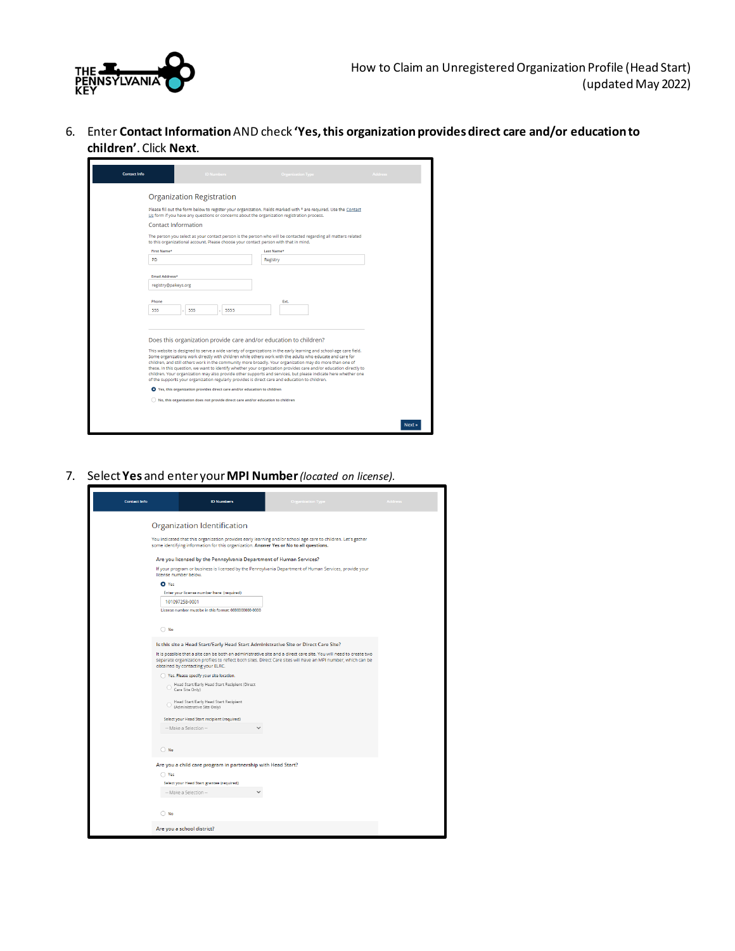

6. Enter **Contact Information**AND check **'Yes, this organization provides direct care and/or education to children'**. Click **Next**.

| <b>Contact Info</b> | <b>ID Numbers</b>                                                                                                                                                                                                                                                                                                       | <b>Organization Type</b>                                                                                                                                                                                                                                                                                                                                  | Address |
|---------------------|-------------------------------------------------------------------------------------------------------------------------------------------------------------------------------------------------------------------------------------------------------------------------------------------------------------------------|-----------------------------------------------------------------------------------------------------------------------------------------------------------------------------------------------------------------------------------------------------------------------------------------------------------------------------------------------------------|---------|
|                     | <b>Organization Registration</b>                                                                                                                                                                                                                                                                                        |                                                                                                                                                                                                                                                                                                                                                           |         |
|                     | Us form if you have any questions or concerns about the organization registration process.                                                                                                                                                                                                                              | Please fill out the form below to register your organization. Fields marked with * are required. Use the Contact                                                                                                                                                                                                                                          |         |
|                     | Contact Information                                                                                                                                                                                                                                                                                                     |                                                                                                                                                                                                                                                                                                                                                           |         |
|                     | to this organizational account. Please choose your contact person with that in mind.                                                                                                                                                                                                                                    | The person you select as your contact person is the person who will be contacted regarding all matters related                                                                                                                                                                                                                                            |         |
|                     | First Name*                                                                                                                                                                                                                                                                                                             | Last Name*                                                                                                                                                                                                                                                                                                                                                |         |
| <b>PD</b>           |                                                                                                                                                                                                                                                                                                                         | Registry                                                                                                                                                                                                                                                                                                                                                  |         |
|                     | Email Address*                                                                                                                                                                                                                                                                                                          |                                                                                                                                                                                                                                                                                                                                                           |         |
|                     | registry@pakeys.org                                                                                                                                                                                                                                                                                                     |                                                                                                                                                                                                                                                                                                                                                           |         |
| Phone<br>555        | 555<br>5555                                                                                                                                                                                                                                                                                                             | Ext.                                                                                                                                                                                                                                                                                                                                                      |         |
|                     | Does this organization provide care and/or education to children?                                                                                                                                                                                                                                                       |                                                                                                                                                                                                                                                                                                                                                           |         |
|                     | Some organizations work directly with children while others work with the adults who educate and care for<br>children, and still others work in the community more broadly. Your organization may do more than one of<br>of the supports your organization regularly provides is direct care and education to children. | This website is designed to serve a wide variety of organizations in the early learning and school-age care field.<br>these. In this question, we want to identify whether your organization provides care and/or education directly to<br>children. Your organization may also provide other supports and services, but please indicate here whether one |         |
|                     | ● Yes, this organization provides direct care and/or education to children                                                                                                                                                                                                                                              |                                                                                                                                                                                                                                                                                                                                                           |         |
|                     | No, this organization does not provide direct care and/or education to children                                                                                                                                                                                                                                         |                                                                                                                                                                                                                                                                                                                                                           |         |
|                     |                                                                                                                                                                                                                                                                                                                         |                                                                                                                                                                                                                                                                                                                                                           |         |
|                     |                                                                                                                                                                                                                                                                                                                         |                                                                                                                                                                                                                                                                                                                                                           | Next:   |

7. Select **Yes** and enter your **MPI Number***(located on license).*

| <b>Contact Info</b> | <b>ID Numbers</b>                                                                      | <b>Organization Type</b>                                                                                                                                                                                                           | Address |
|---------------------|----------------------------------------------------------------------------------------|------------------------------------------------------------------------------------------------------------------------------------------------------------------------------------------------------------------------------------|---------|
|                     | Organization Identification                                                            |                                                                                                                                                                                                                                    |         |
|                     | some identifying information for this organization. Answer Yes or No to all questions. | You indicated that this organization provides early learning and/or school age care to children. Let's gather                                                                                                                      |         |
|                     | Are you licensed by the Pennsylvania Department of Human Services?                     |                                                                                                                                                                                                                                    |         |
|                     | license number below.                                                                  | If your program or business is licensed by the Pennsylvania Department of Human Services, provide your                                                                                                                             |         |
| O Yes               |                                                                                        |                                                                                                                                                                                                                                    |         |
|                     | Enter your license number here: (required)                                             |                                                                                                                                                                                                                                    |         |
|                     | 101097258-0001<br>License number must be in this format: 0000000000-0000               |                                                                                                                                                                                                                                    |         |
|                     |                                                                                        |                                                                                                                                                                                                                                    |         |
| $\bigcirc$ No       |                                                                                        |                                                                                                                                                                                                                                    |         |
|                     | Is this site a Head Start/Early Head Start Administrative Site or Direct Care Site?    |                                                                                                                                                                                                                                    |         |
|                     | obtained by contacting your ELRC.                                                      | It is possible that a site can be both an administrative site and a direct care site. You will need to create two<br>separate organization profiles to reflect both sites. Direct Care sites will have an MPI number, which can be |         |
|                     | Yes. Please specify your site location.                                                |                                                                                                                                                                                                                                    |         |
|                     | Head Start/Early Head Start Recipient (Direct<br>Care Site Only)                       |                                                                                                                                                                                                                                    |         |
|                     | Head Start/Early Head Start Recipient<br>(Administrative Site Only)                    |                                                                                                                                                                                                                                    |         |
|                     | Select your Head Start recipient (required)                                            |                                                                                                                                                                                                                                    |         |
|                     | -- Make a Selection --                                                                 |                                                                                                                                                                                                                                    |         |
| $\bigcirc$ No       |                                                                                        |                                                                                                                                                                                                                                    |         |
|                     | Are you a child care program in partnership with Head Start?                           |                                                                                                                                                                                                                                    |         |
| ◯ Yes               |                                                                                        |                                                                                                                                                                                                                                    |         |
|                     | Select your Head Start grantee (required)                                              |                                                                                                                                                                                                                                    |         |
|                     | -- Make a Selection --                                                                 |                                                                                                                                                                                                                                    |         |
| $\bigcap$ No        |                                                                                        |                                                                                                                                                                                                                                    |         |
|                     | Are you a school district?                                                             |                                                                                                                                                                                                                                    |         |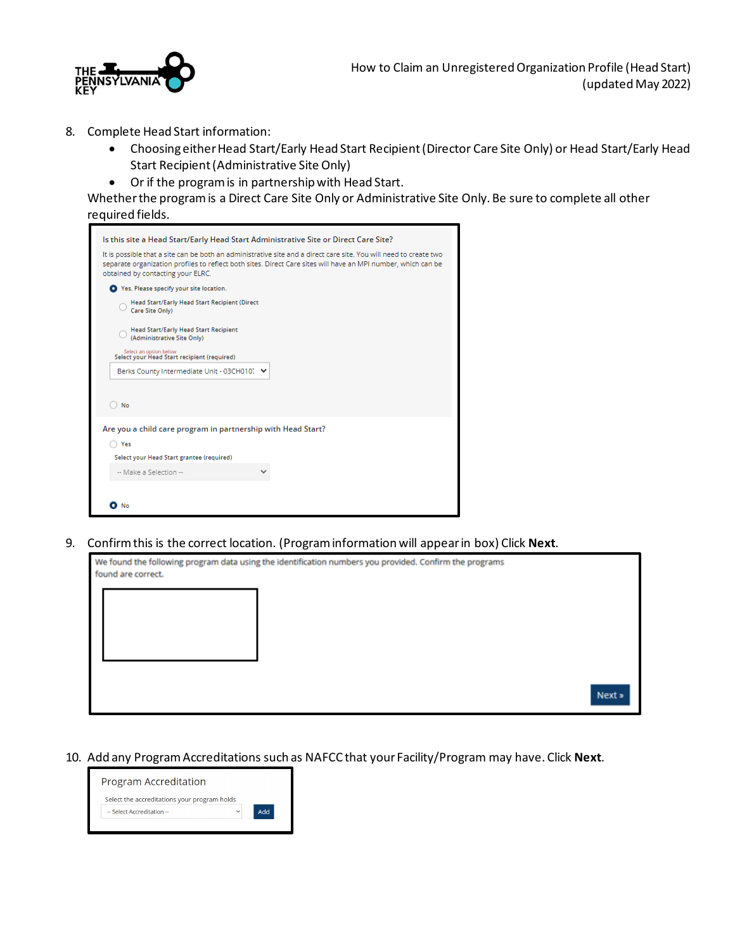

- 8. Complete Head Start information:
	- Choosing either Head Start/Early Head Start Recipient (Director Care Site Only) or Head Start/Early Head Start Recipient (Administrative Site Only)
	- Or if the program is in partnership with Head Start.

Whether the program is a Direct Care Site Only or Administrative Site Only. Be sure to complete all other required fields.

| Is this site a Head Start/Early Head Start Administrative Site or Direct Care Site?                                                                                                                                                                                     |
|-------------------------------------------------------------------------------------------------------------------------------------------------------------------------------------------------------------------------------------------------------------------------|
| It is possible that a site can be both an administrative site and a direct care site. You will need to create two<br>separate organization profiles to reflect both sites. Direct Care sites will have an MPI number, which can be<br>obtained by contacting your ELRC. |
| Yes. Please specify your site location.                                                                                                                                                                                                                                 |
| Head Start/Early Head Start Recipient (Direct<br>Care Site Only)                                                                                                                                                                                                        |
| <b>Head Start/Early Head Start Recipient</b><br>(Administrative Site Only)                                                                                                                                                                                              |
| Select an option below.<br>Select your Head Start recipient (required)                                                                                                                                                                                                  |
| Berks County Intermediate Unit - 03CH010. V                                                                                                                                                                                                                             |
| No                                                                                                                                                                                                                                                                      |
| Are you a child care program in partnership with Head Start?                                                                                                                                                                                                            |
| Yes                                                                                                                                                                                                                                                                     |
| Select your Head Start grantee (required)                                                                                                                                                                                                                               |
| -- Make a Selection --                                                                                                                                                                                                                                                  |
|                                                                                                                                                                                                                                                                         |
| О<br>No                                                                                                                                                                                                                                                                 |
|                                                                                                                                                                                                                                                                         |

9. Confirm this is the correct location. (Program information will appear in box) Click **Next**.

| found are correct. | We found the following program data using the identification numbers you provided. Confirm the programs |        |
|--------------------|---------------------------------------------------------------------------------------------------------|--------|
|                    |                                                                                                         |        |
|                    |                                                                                                         |        |
|                    |                                                                                                         |        |
|                    |                                                                                                         | Next » |

10. Add any Program Accreditations such as NAFCC that your Facility/Program may have. Click **Next**.

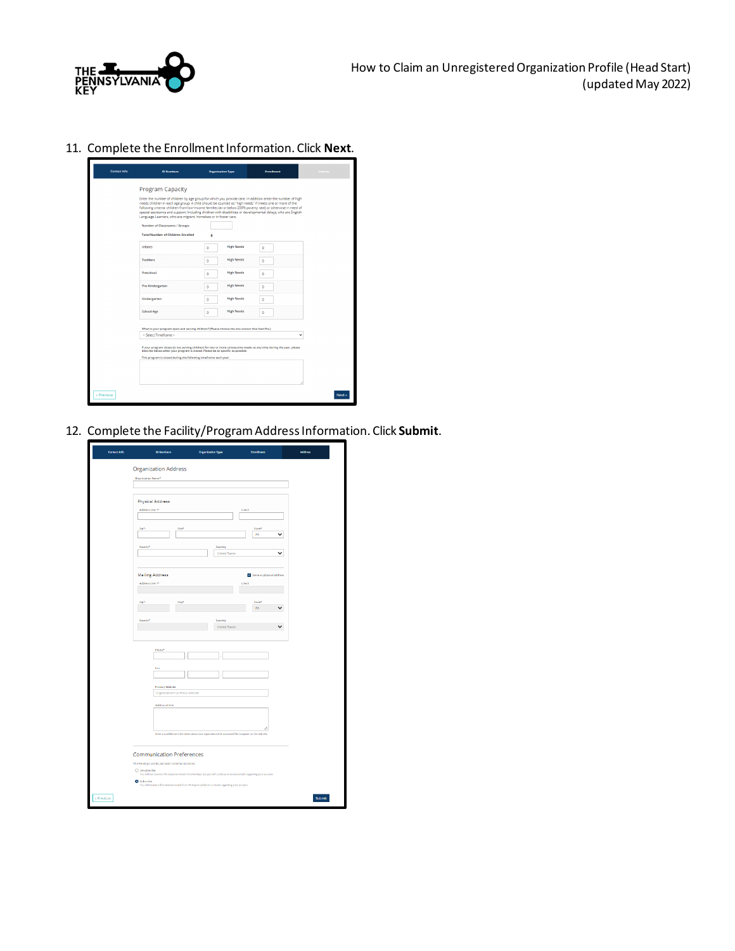

11. Complete the Enrollment Information. Click **Next**.

|            | <b>Program Capacity</b>                                                                                                                                                                                                                                                                                                                                                                                                                                                                                                    |                                          |          |        |
|------------|----------------------------------------------------------------------------------------------------------------------------------------------------------------------------------------------------------------------------------------------------------------------------------------------------------------------------------------------------------------------------------------------------------------------------------------------------------------------------------------------------------------------------|------------------------------------------|----------|--------|
|            | Enter the number of children by age group for which you provide care. In addition enter the number of high<br>needs children in each age group. A child should be counted as "high needs" if meets one or more of the<br>following criteria: children from low-income families (at or below 200% poverty rate) or otherwise in need of<br>special assistance and support: Including children with disabilities or developmental delays, who are English<br>Language Learners, who are migrant, homeless or in foster care. |                                          |          |        |
|            | Number of Classrooms / Groups                                                                                                                                                                                                                                                                                                                                                                                                                                                                                              |                                          |          |        |
|            | <b>Total Number of Children Enrolled</b>                                                                                                                                                                                                                                                                                                                                                                                                                                                                                   | Ō                                        |          |        |
|            | Infants                                                                                                                                                                                                                                                                                                                                                                                                                                                                                                                    | <b>High Needs</b><br>$\ddot{\mathbf{0}}$ | ٥        |        |
|            | <b>Toddlers</b>                                                                                                                                                                                                                                                                                                                                                                                                                                                                                                            | <b>High Needs</b><br>$\bullet$           | ٥        |        |
|            | Preschool                                                                                                                                                                                                                                                                                                                                                                                                                                                                                                                  | <b>High Needs</b><br>$\bullet$           | o        |        |
|            | Pre-Kindergarten                                                                                                                                                                                                                                                                                                                                                                                                                                                                                                           | <b>High Needs</b><br>$\circ$             | $\Omega$ |        |
|            | Kindergarten                                                                                                                                                                                                                                                                                                                                                                                                                                                                                                               | <b>High Needs</b><br>$\bullet$           | ٥        |        |
|            | School-Age                                                                                                                                                                                                                                                                                                                                                                                                                                                                                                                 | <b>High Needs</b><br>$\circ$             | $\circ$  |        |
|            |                                                                                                                                                                                                                                                                                                                                                                                                                                                                                                                            |                                          |          |        |
|            | When is your program open and serving children? (Please choose the one answer that best fits.)<br>-- Select Timeframe --                                                                                                                                                                                                                                                                                                                                                                                                   |                                          | v        |        |
|            | If your program closes (is not serving children) for two or more consecutive weeks at any time during the year, please<br>describe below when your program is closed. Please be as specific as possible.                                                                                                                                                                                                                                                                                                                   |                                          |          |        |
|            | This program is closed during the following timeframe each year:                                                                                                                                                                                                                                                                                                                                                                                                                                                           |                                          |          |        |
|            |                                                                                                                                                                                                                                                                                                                                                                                                                                                                                                                            |                                          |          |        |
| « Previous |                                                                                                                                                                                                                                                                                                                                                                                                                                                                                                                            |                                          |          | Next » |

12. Complete the Facility/Program Address Information. Click **Submit**.

| <b>Organization Address</b><br>Organization Name*                                                                                             |                                 |                                    |  |
|-----------------------------------------------------------------------------------------------------------------------------------------------|---------------------------------|------------------------------------|--|
| <b>Physical Address</b>                                                                                                                       |                                 |                                    |  |
| Address Line 1*                                                                                                                               |                                 | Line 2                             |  |
| Giyt<br>$\mathbb{Z}[\mathbf{p}^{\bullet}]$                                                                                                    |                                 | State*                             |  |
|                                                                                                                                               |                                 | v<br>PA                            |  |
| County*                                                                                                                                       | Country<br><b>United States</b> | ◡                                  |  |
|                                                                                                                                               |                                 |                                    |  |
| <b>Mailing Address</b><br>Address Line 1*                                                                                                     |                                 | Same as physical address<br>Line 2 |  |
|                                                                                                                                               |                                 |                                    |  |
| zip*:<br>City*                                                                                                                                |                                 | State*<br>PA                       |  |
| County*                                                                                                                                       | <b>Country</b>                  |                                    |  |
|                                                                                                                                               | United States                   | ╰                                  |  |
| Phone <sup>4</sup>                                                                                                                            |                                 |                                    |  |
|                                                                                                                                               |                                 |                                    |  |
| Fex                                                                                                                                           |                                 |                                    |  |
| <b>Primary Website</b>                                                                                                                        |                                 |                                    |  |
| Organization's primary website<br>Additional Info                                                                                             |                                 |                                    |  |
|                                                                                                                                               |                                 |                                    |  |
|                                                                                                                                               |                                 |                                    |  |
| Enter any additional information about your organization that you mould like to appear on this web site.                                      |                                 |                                    |  |
| <b>Communication Preferences</b>                                                                                                              |                                 |                                    |  |
| The PA Keys sends periodic communications.<br>O Unsubscribe                                                                                   |                                 |                                    |  |
| You will not receive informational emails from PA Keys, but you will continue to receive emails regarding your account.<br><b>O</b> Subscribe |                                 |                                    |  |